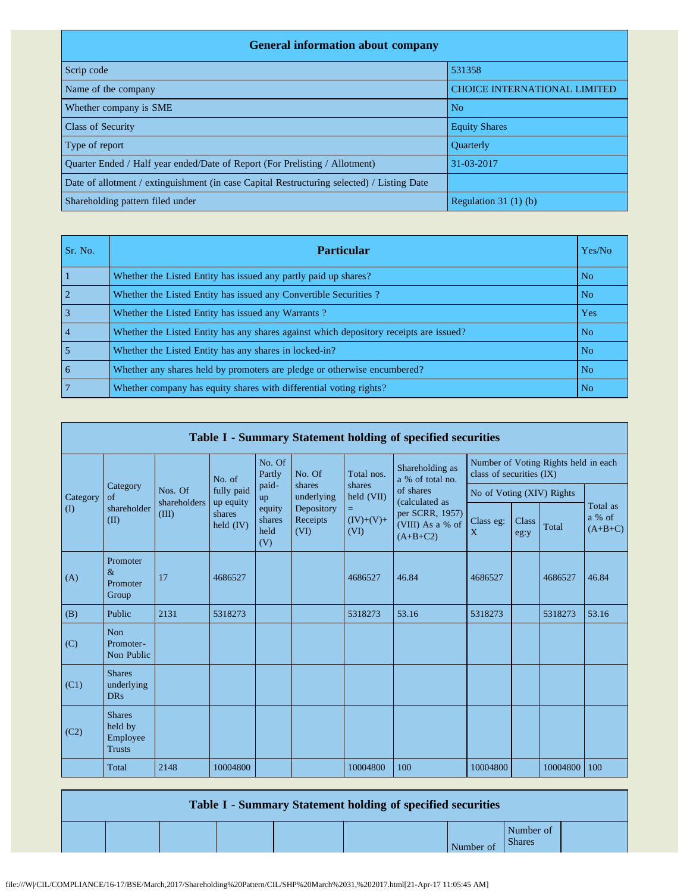| <b>General information about company</b>                                                   |                                     |  |  |  |  |  |  |  |  |  |
|--------------------------------------------------------------------------------------------|-------------------------------------|--|--|--|--|--|--|--|--|--|
| Scrip code                                                                                 | 531358                              |  |  |  |  |  |  |  |  |  |
| Name of the company                                                                        | <b>CHOICE INTERNATIONAL LIMITED</b> |  |  |  |  |  |  |  |  |  |
| Whether company is SME                                                                     | N <sub>o</sub>                      |  |  |  |  |  |  |  |  |  |
| <b>Class of Security</b>                                                                   | <b>Equity Shares</b>                |  |  |  |  |  |  |  |  |  |
| Type of report                                                                             | <b>Ouarterly</b>                    |  |  |  |  |  |  |  |  |  |
| Quarter Ended / Half year ended/Date of Report (For Prelisting / Allotment)                | 31-03-2017                          |  |  |  |  |  |  |  |  |  |
| Date of allotment / extinguishment (in case Capital Restructuring selected) / Listing Date |                                     |  |  |  |  |  |  |  |  |  |
| Shareholding pattern filed under                                                           | Regulation $31(1)(b)$               |  |  |  |  |  |  |  |  |  |

| Sr. No.        | <b>Particular</b>                                                                      | Yes/No         |
|----------------|----------------------------------------------------------------------------------------|----------------|
|                | Whether the Listed Entity has issued any partly paid up shares?                        | N <sub>o</sub> |
|                | Whether the Listed Entity has issued any Convertible Securities?                       | N <sub>o</sub> |
|                | Whether the Listed Entity has issued any Warrants?                                     | Yes            |
| $\overline{4}$ | Whether the Listed Entity has any shares against which depository receipts are issued? | N <sub>o</sub> |
|                | Whether the Listed Entity has any shares in locked-in?                                 | N <sub>o</sub> |
| 6              | Whether any shares held by promoters are pledge or otherwise encumbered?               | N <sub>o</sub> |
|                | Whether company has equity shares with differential voting rights?                     | N <sub>o</sub> |

|             | Table I - Summary Statement holding of specified securities |                         |                                  |                                 |                                |                          |                                                                                  |                                                                  |               |          |                                 |  |  |
|-------------|-------------------------------------------------------------|-------------------------|----------------------------------|---------------------------------|--------------------------------|--------------------------|----------------------------------------------------------------------------------|------------------------------------------------------------------|---------------|----------|---------------------------------|--|--|
|             |                                                             |                         | No. of                           | No. Of<br>Partly                | No. Of                         | Total nos.               | Shareholding as<br>a % of total no.                                              | Number of Voting Rights held in each<br>class of securities (IX) |               |          |                                 |  |  |
| Category    | Category<br>$\sigma$ f                                      | Nos. Of<br>shareholders | fully paid                       | paid-<br>up                     | shares<br>underlying           | shares<br>held (VII)     | of shares<br>(calculated as<br>per SCRR, 1957)<br>(VIII) As a % of<br>$(A+B+C2)$ | No of Voting (XIV) Rights                                        |               |          | Total as<br>a % of<br>$(A+B+C)$ |  |  |
| $($ $($ $)$ | shareholder<br>(II)                                         | (III)                   | up equity<br>shares<br>held (IV) | equity<br>shares<br>held<br>(V) | Depository<br>Receipts<br>(VI) | =<br>$(IV)+(V)+$<br>(VI) |                                                                                  | Class eg:<br>X                                                   | Class<br>eg:y | Total    |                                 |  |  |
| (A)         | Promoter<br>$\&$<br>Promoter<br>Group                       | 17                      | 4686527                          |                                 |                                | 4686527                  | 46.84                                                                            | 4686527                                                          |               | 4686527  | 46.84                           |  |  |
| (B)         | Public                                                      | 2131                    | 5318273                          |                                 |                                | 5318273                  | 53.16                                                                            | 5318273                                                          |               | 5318273  | 53.16                           |  |  |
| (C)         | <b>Non</b><br>Promoter-<br>Non Public                       |                         |                                  |                                 |                                |                          |                                                                                  |                                                                  |               |          |                                 |  |  |
| (C1)        | <b>Shares</b><br>underlying<br><b>DRs</b>                   |                         |                                  |                                 |                                |                          |                                                                                  |                                                                  |               |          |                                 |  |  |
| (C2)        | <b>Shares</b><br>held by<br>Employee<br><b>Trusts</b>       |                         |                                  |                                 |                                |                          |                                                                                  |                                                                  |               |          |                                 |  |  |
|             | Total                                                       | 2148                    | 10004800                         |                                 |                                | 10004800                 | 100                                                                              | 10004800                                                         |               | 10004800 | 100                             |  |  |

| Table I - Summary Statement holding of specified securities |  |  |  |  |           |                            |  |  |  |  |
|-------------------------------------------------------------|--|--|--|--|-----------|----------------------------|--|--|--|--|
|                                                             |  |  |  |  | Number of | Number of<br><b>Shares</b> |  |  |  |  |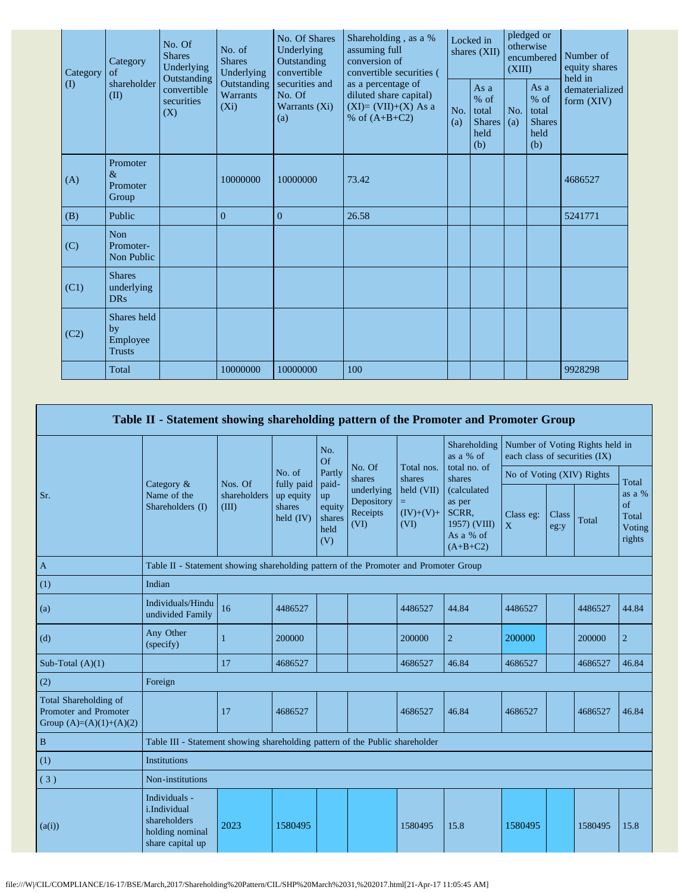| Category<br>$\textcircled{1}$ | Category<br>of                                 | No. Of<br><b>Shares</b><br>Underlying<br>Outstanding | No. of<br><b>Shares</b><br>Underlying     | No. Of Shares<br>Underlying<br>Outstanding<br>convertible | Shareholding, as a %<br>assuming full<br>conversion of<br>convertible securities (       | Locked in<br>shares (XII) |                                                           | pledged or<br>otherwise<br>encumbered<br>(XIII) |                                                       | Number of<br>equity shares<br>held in |  |
|-------------------------------|------------------------------------------------|------------------------------------------------------|-------------------------------------------|-----------------------------------------------------------|------------------------------------------------------------------------------------------|---------------------------|-----------------------------------------------------------|-------------------------------------------------|-------------------------------------------------------|---------------------------------------|--|
|                               | shareholder<br>(II)                            | convertible<br>securities<br>(X)                     | Outstanding<br><b>Warrants</b><br>$(X_i)$ | securities and<br>No. Of<br>Warrants (Xi)<br>(a)          | as a percentage of<br>diluted share capital)<br>$(XI)=(VII)+(X) As a$<br>% of $(A+B+C2)$ | No.<br>(a)                | As $a$<br>$%$ of<br>total<br><b>Shares</b><br>held<br>(b) | No.<br>(a)                                      | As a<br>% of<br>total<br><b>Shares</b><br>held<br>(b) | dematerialized<br>form (XIV)          |  |
| (A)                           | Promoter<br>$\&$<br>Promoter<br>Group          |                                                      | 10000000                                  | 10000000                                                  | 73.42                                                                                    |                           |                                                           |                                                 |                                                       | 4686527                               |  |
| (B)                           | Public                                         |                                                      | $\overline{0}$                            | $\overline{0}$                                            | 26.58                                                                                    |                           |                                                           |                                                 |                                                       | 5241771                               |  |
| (C)                           | <b>Non</b><br>Promoter-<br>Non Public          |                                                      |                                           |                                                           |                                                                                          |                           |                                                           |                                                 |                                                       |                                       |  |
| (C1)                          | <b>Shares</b><br>underlying<br><b>DRs</b>      |                                                      |                                           |                                                           |                                                                                          |                           |                                                           |                                                 |                                                       |                                       |  |
| (C2)                          | Shares held<br>by<br>Employee<br><b>Trusts</b> |                                                      |                                           |                                                           |                                                                                          |                           |                                                           |                                                 |                                                       |                                       |  |
|                               | Total                                          |                                                      | 10000000                                  | 10000000                                                  | 100                                                                                      |                           |                                                           |                                                 |                                                       | 9928298                               |  |

|                                                                             | Table II - Statement showing shareholding pattern of the Promoter and Promoter Group |                                                                                      |                                                  |                                       |                                              |                                   |                                                                                                     |                               |                      |                                 |                                           |
|-----------------------------------------------------------------------------|--------------------------------------------------------------------------------------|--------------------------------------------------------------------------------------|--------------------------------------------------|---------------------------------------|----------------------------------------------|-----------------------------------|-----------------------------------------------------------------------------------------------------|-------------------------------|----------------------|---------------------------------|-------------------------------------------|
|                                                                             |                                                                                      |                                                                                      |                                                  | No.<br>Of                             |                                              |                                   | Shareholding<br>as a % of                                                                           | each class of securities (IX) |                      | Number of Voting Rights held in |                                           |
|                                                                             |                                                                                      | Nos. Of                                                                              | No. of                                           | Partly                                | No. Of<br>shares<br>paid-                    | Total nos.<br>shares              | total no. of<br>shares<br>(calculated<br>as per<br>SCRR,<br>1957) (VIII)<br>As a % of<br>$(A+B+C2)$ | No of Voting (XIV) Rights     |                      |                                 | Total                                     |
| Sr.                                                                         | Category &<br>Name of the<br>Shareholders (I)                                        | shareholders<br>(III)                                                                | fully paid<br>up equity<br>shares<br>$held$ (IV) | up<br>equity<br>shares<br>held<br>(V) | underlying<br>Depository<br>Receipts<br>(VI) | held (VII)<br>$(IV)+(V)+$<br>(VI) |                                                                                                     | Class eg:<br>X                | <b>Class</b><br>eg:y | Total                           | as a %<br>of<br>Total<br>Voting<br>rights |
| $\mathbf{A}$                                                                |                                                                                      | Table II - Statement showing shareholding pattern of the Promoter and Promoter Group |                                                  |                                       |                                              |                                   |                                                                                                     |                               |                      |                                 |                                           |
| (1)                                                                         | Indian                                                                               |                                                                                      |                                                  |                                       |                                              |                                   |                                                                                                     |                               |                      |                                 |                                           |
| (a)                                                                         | Individuals/Hindu<br>undivided Family                                                | 16                                                                                   | 4486527                                          |                                       |                                              | 4486527                           | 44.84                                                                                               | 4486527                       |                      | 4486527                         | 44.84                                     |
| (d)                                                                         | Any Other<br>(specify)                                                               |                                                                                      | 200000                                           |                                       |                                              | 200000                            | $\overline{2}$                                                                                      | 200000                        |                      | 200000                          | $\overline{2}$                            |
| Sub-Total $(A)(1)$                                                          |                                                                                      | 17                                                                                   | 4686527                                          |                                       |                                              | 4686527                           | 46.84                                                                                               | 4686527                       |                      | 4686527                         | 46.84                                     |
| (2)                                                                         | Foreign                                                                              |                                                                                      |                                                  |                                       |                                              |                                   |                                                                                                     |                               |                      |                                 |                                           |
| Total Shareholding of<br>Promoter and Promoter<br>Group $(A)=(A)(1)+(A)(2)$ |                                                                                      | 17                                                                                   | 4686527                                          |                                       |                                              | 4686527                           | 46.84                                                                                               | 4686527                       |                      | 4686527                         | 46.84                                     |
| $\, {\bf B}$                                                                | Table III - Statement showing shareholding pattern of the Public shareholder         |                                                                                      |                                                  |                                       |                                              |                                   |                                                                                                     |                               |                      |                                 |                                           |
| (1)                                                                         | <b>Institutions</b>                                                                  |                                                                                      |                                                  |                                       |                                              |                                   |                                                                                                     |                               |                      |                                 |                                           |
| (3)                                                                         | Non-institutions                                                                     |                                                                                      |                                                  |                                       |                                              |                                   |                                                                                                     |                               |                      |                                 |                                           |
| (a(i))                                                                      | Individuals -<br>i.Individual<br>shareholders<br>holding nominal<br>share capital up | 2023                                                                                 | 1580495                                          |                                       |                                              | 1580495                           | 15.8                                                                                                | 1580495                       |                      | 1580495                         | 15.8                                      |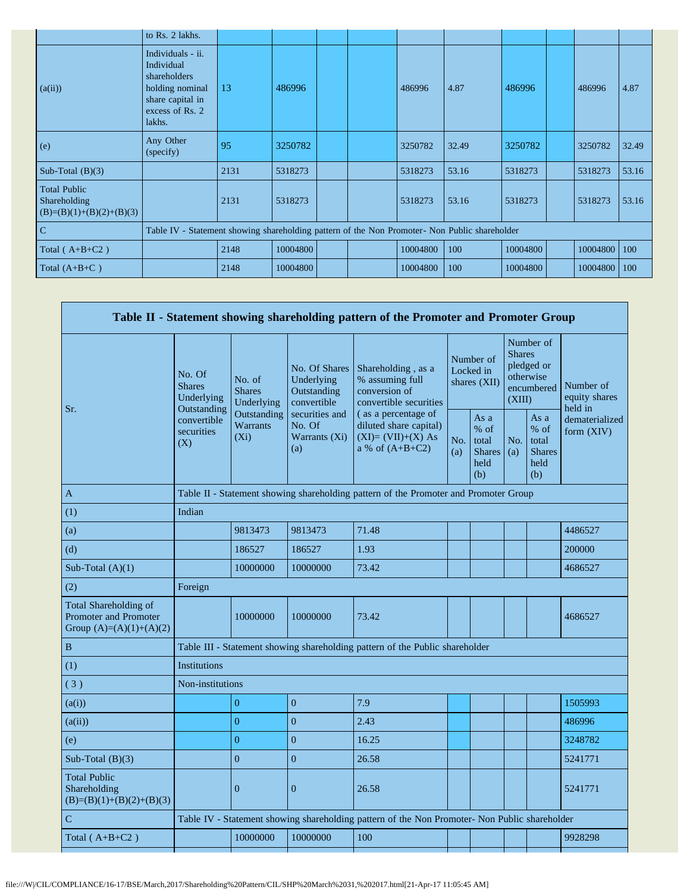|                                                                   | to Rs. 2 lakhs.                                                                                                     |                                                                                               |          |  |  |          |       |          |  |          |       |
|-------------------------------------------------------------------|---------------------------------------------------------------------------------------------------------------------|-----------------------------------------------------------------------------------------------|----------|--|--|----------|-------|----------|--|----------|-------|
| (a(ii))                                                           | Individuals - ii.<br>Individual<br>shareholders<br>holding nominal<br>share capital in<br>excess of Rs. 2<br>lakhs. | 13                                                                                            | 486996   |  |  | 486996   | 4.87  | 486996   |  | 486996   | 4.87  |
| (e)                                                               | Any Other<br>(specify)                                                                                              | 95                                                                                            | 3250782  |  |  | 3250782  | 32.49 | 3250782  |  | 3250782  | 32.49 |
| Sub-Total $(B)(3)$                                                |                                                                                                                     | 2131                                                                                          | 5318273  |  |  | 5318273  | 53.16 | 5318273  |  | 5318273  | 53.16 |
| <b>Total Public</b><br>Shareholding<br>$(B)=(B)(1)+(B)(2)+(B)(3)$ |                                                                                                                     | 2131                                                                                          | 5318273  |  |  | 5318273  | 53.16 | 5318273  |  | 5318273  | 53.16 |
| $\mathbf C$                                                       |                                                                                                                     | Table IV - Statement showing shareholding pattern of the Non Promoter- Non Public shareholder |          |  |  |          |       |          |  |          |       |
| Total $(A+B+C2)$                                                  |                                                                                                                     | 2148                                                                                          | 10004800 |  |  | 10004800 | 100   | 10004800 |  | 10004800 | 100   |
| Total $(A+B+C)$                                                   |                                                                                                                     | 2148                                                                                          | 10004800 |  |  | 10004800 | 100   | 10004800 |  | 10004800 | 100   |

|                                                                             |                                                      |                                                                                      |                                                           | Table II - Statement showing shareholding pattern of the Promoter and Promoter Group          |                                        |                                                         |                                                                               |                                                       |                                       |  |  |
|-----------------------------------------------------------------------------|------------------------------------------------------|--------------------------------------------------------------------------------------|-----------------------------------------------------------|-----------------------------------------------------------------------------------------------|----------------------------------------|---------------------------------------------------------|-------------------------------------------------------------------------------|-------------------------------------------------------|---------------------------------------|--|--|
| Sr.                                                                         | No. Of<br><b>Shares</b><br>Underlying<br>Outstanding | No. of<br><b>Shares</b><br>Underlying                                                | No. Of Shares<br>Underlying<br>Outstanding<br>convertible | Shareholding, as a<br>% assuming full<br>conversion of<br>convertible securities              | Number of<br>Locked in<br>shares (XII) |                                                         | Number of<br><b>Shares</b><br>pledged or<br>otherwise<br>encumbered<br>(XIII) |                                                       | Number of<br>equity shares<br>held in |  |  |
|                                                                             | convertible<br>securities<br>(X)                     | Outstanding<br><b>Warrants</b><br>$(X_i)$                                            | securities and<br>No. Of<br>Warrants (Xi)<br>(a)          | (as a percentage of<br>diluted share capital)<br>$(XI)=(VII)+(X) As$<br>a % of $(A+B+C2)$     | No.<br>(a)                             | As a<br>$%$ of<br>total<br><b>Shares</b><br>held<br>(b) | No.<br>(a)                                                                    | As a<br>% of<br>total<br><b>Shares</b><br>held<br>(b) | dematerialized<br>form $(XIV)$        |  |  |
| A                                                                           |                                                      | Table II - Statement showing shareholding pattern of the Promoter and Promoter Group |                                                           |                                                                                               |                                        |                                                         |                                                                               |                                                       |                                       |  |  |
| (1)                                                                         | Indian                                               |                                                                                      |                                                           |                                                                                               |                                        |                                                         |                                                                               |                                                       |                                       |  |  |
| (a)                                                                         |                                                      | 9813473                                                                              | 9813473                                                   | 71.48                                                                                         |                                        |                                                         |                                                                               |                                                       | 4486527                               |  |  |
| (d)                                                                         |                                                      | 186527                                                                               | 186527                                                    | 1.93                                                                                          |                                        |                                                         |                                                                               |                                                       | 200000                                |  |  |
| Sub-Total $(A)(1)$                                                          |                                                      | 10000000                                                                             | 10000000                                                  | 73.42                                                                                         |                                        |                                                         |                                                                               |                                                       | 4686527                               |  |  |
| (2)                                                                         | Foreign                                              |                                                                                      |                                                           |                                                                                               |                                        |                                                         |                                                                               |                                                       |                                       |  |  |
| Total Shareholding of<br>Promoter and Promoter<br>Group $(A)=(A)(1)+(A)(2)$ |                                                      | 10000000                                                                             | 10000000                                                  | 73.42                                                                                         |                                        |                                                         |                                                                               |                                                       | 4686527                               |  |  |
| $\, {\bf B}$                                                                |                                                      |                                                                                      |                                                           | Table III - Statement showing shareholding pattern of the Public shareholder                  |                                        |                                                         |                                                                               |                                                       |                                       |  |  |
| (1)                                                                         | <b>Institutions</b>                                  |                                                                                      |                                                           |                                                                                               |                                        |                                                         |                                                                               |                                                       |                                       |  |  |
| (3)                                                                         | Non-institutions                                     |                                                                                      |                                                           |                                                                                               |                                        |                                                         |                                                                               |                                                       |                                       |  |  |
| (a(i))                                                                      |                                                      | $\overline{0}$                                                                       | $\overline{0}$                                            | 7.9                                                                                           |                                        |                                                         |                                                                               |                                                       | 1505993                               |  |  |
| (a(ii))                                                                     |                                                      | $\theta$                                                                             | $\mathbf{0}$                                              | 2.43                                                                                          |                                        |                                                         |                                                                               |                                                       | 486996                                |  |  |
| (e)                                                                         |                                                      | $\overline{0}$                                                                       | $\overline{0}$                                            | 16.25                                                                                         |                                        |                                                         |                                                                               |                                                       | 3248782                               |  |  |
| Sub-Total $(B)(3)$                                                          |                                                      | $\overline{0}$                                                                       | $\mathbf{0}$                                              | 26.58                                                                                         |                                        |                                                         |                                                                               |                                                       | 5241771                               |  |  |
| <b>Total Public</b><br>Shareholding<br>$(B)=(B)(1)+(B)(2)+(B)(3)$           |                                                      | $\overline{0}$                                                                       | $\mathbf{0}$                                              | 26.58                                                                                         |                                        |                                                         |                                                                               |                                                       | 5241771                               |  |  |
| $\mathcal{C}$                                                               |                                                      |                                                                                      |                                                           | Table IV - Statement showing shareholding pattern of the Non Promoter- Non Public shareholder |                                        |                                                         |                                                                               |                                                       |                                       |  |  |
| Total $(A+B+C2)$                                                            |                                                      | 10000000                                                                             | 10000000                                                  | 100                                                                                           |                                        |                                                         |                                                                               |                                                       | 9928298                               |  |  |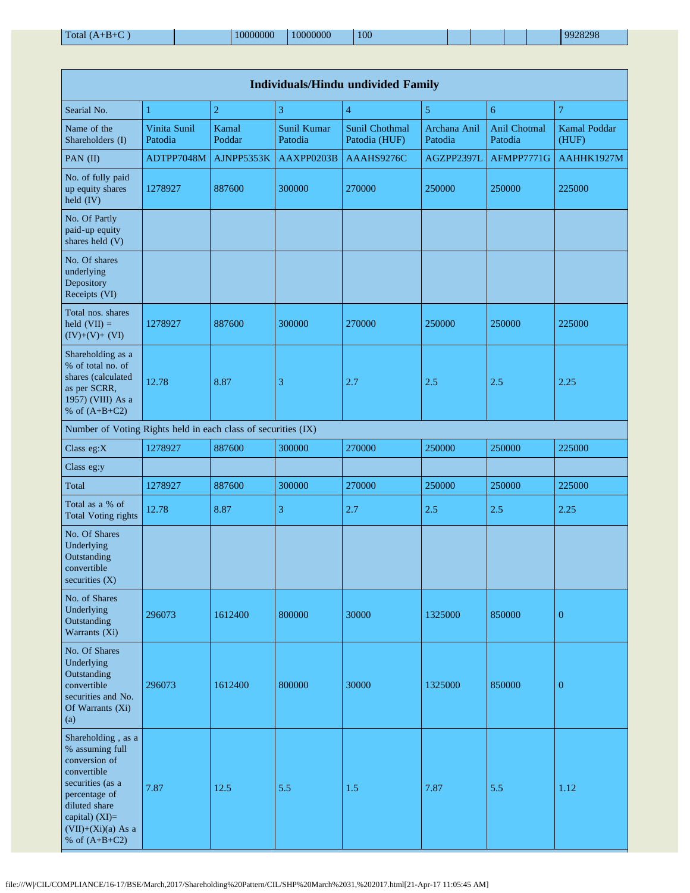| <b>Individuals/Hindu undivided Family</b>                                                                                                                                                |                         |                 |                        |                                 |                         |                         |                       |  |  |  |  |  |
|------------------------------------------------------------------------------------------------------------------------------------------------------------------------------------------|-------------------------|-----------------|------------------------|---------------------------------|-------------------------|-------------------------|-----------------------|--|--|--|--|--|
| Searial No.                                                                                                                                                                              | 1                       | $\overline{2}$  | 3                      | $\overline{4}$                  | 5                       | 6                       | $\overline{7}$        |  |  |  |  |  |
| Name of the<br>Shareholders (I)                                                                                                                                                          | Vinita Sunil<br>Patodia | Kamal<br>Poddar | Sunil Kumar<br>Patodia | Sunil Chothmal<br>Patodia (HUF) | Archana Anil<br>Patodia | Anil Chotmal<br>Patodia | Kamal Poddar<br>(HUF) |  |  |  |  |  |
| PAN (II)                                                                                                                                                                                 | ADTPP7048M              | AJNPP5353K      | AAXPP0203B             | AAAHS9276C                      | AGZPP2397L              | AFMPP7771G              | AAHHK1927M            |  |  |  |  |  |
| No. of fully paid<br>up equity shares<br>held (IV)                                                                                                                                       | 1278927                 | 887600          | 300000                 | 270000                          | 250000                  | 250000                  | 225000                |  |  |  |  |  |
| No. Of Partly<br>paid-up equity<br>shares held (V)                                                                                                                                       |                         |                 |                        |                                 |                         |                         |                       |  |  |  |  |  |
| No. Of shares<br>underlying<br>Depository<br>Receipts (VI)                                                                                                                               |                         |                 |                        |                                 |                         |                         |                       |  |  |  |  |  |
| Total nos. shares<br>held $(VII) =$<br>$(IV)+(V)+(VI)$                                                                                                                                   | 1278927                 | 887600          | 300000                 | 270000                          | 250000                  | 250000                  | 225000                |  |  |  |  |  |
| Shareholding as a<br>% of total no. of<br>shares (calculated<br>as per SCRR,<br>1957) (VIII) As a<br>% of $(A+B+C2)$                                                                     | 12.78                   | 8.87            | 3                      | 2.7                             | 2.5                     | 2.5                     | 2.25                  |  |  |  |  |  |
| Number of Voting Rights held in each class of securities (IX)                                                                                                                            |                         |                 |                        |                                 |                         |                         |                       |  |  |  |  |  |
| Class eg:X                                                                                                                                                                               | 1278927                 | 887600          | 300000                 | 270000                          | 250000                  | 250000                  | 225000                |  |  |  |  |  |
| Class eg:y                                                                                                                                                                               |                         |                 |                        |                                 |                         |                         |                       |  |  |  |  |  |
| Total                                                                                                                                                                                    | 1278927                 | 887600          | 300000                 | 270000                          | 250000                  | 250000                  | 225000                |  |  |  |  |  |
| Total as a % of<br><b>Total Voting rights</b>                                                                                                                                            | 12.78                   | 8.87            | 3                      | 2.7                             | 2.5                     | 2.5                     | 2.25                  |  |  |  |  |  |
| No. Of Shares<br>Underlying<br>Outstanding<br>convertible<br>securities $(X)$                                                                                                            |                         |                 |                        |                                 |                         |                         |                       |  |  |  |  |  |
| No. of Shares<br>Underlying<br>Outstanding<br>Warrants (Xi)                                                                                                                              | 296073                  | 1612400         | 800000                 | 30000                           | 1325000                 | 850000                  | $\boldsymbol{0}$      |  |  |  |  |  |
| No. Of Shares<br>Underlying<br>Outstanding<br>convertible<br>securities and No.<br>Of Warrants (Xi)<br>(a)                                                                               | 296073                  | 1612400         | 800000                 | 30000                           | 1325000                 | 850000                  | $\boldsymbol{0}$      |  |  |  |  |  |
| Shareholding, as a<br>% assuming full<br>conversion of<br>convertible<br>securities (as a<br>percentage of<br>diluted share<br>capital) (XI)=<br>$(VII)+(Xi)(a)$ As a<br>% of $(A+B+C2)$ | 7.87                    | 12.5            | 5.5                    | 1.5                             | 7.87                    | 5.5                     | 1.12                  |  |  |  |  |  |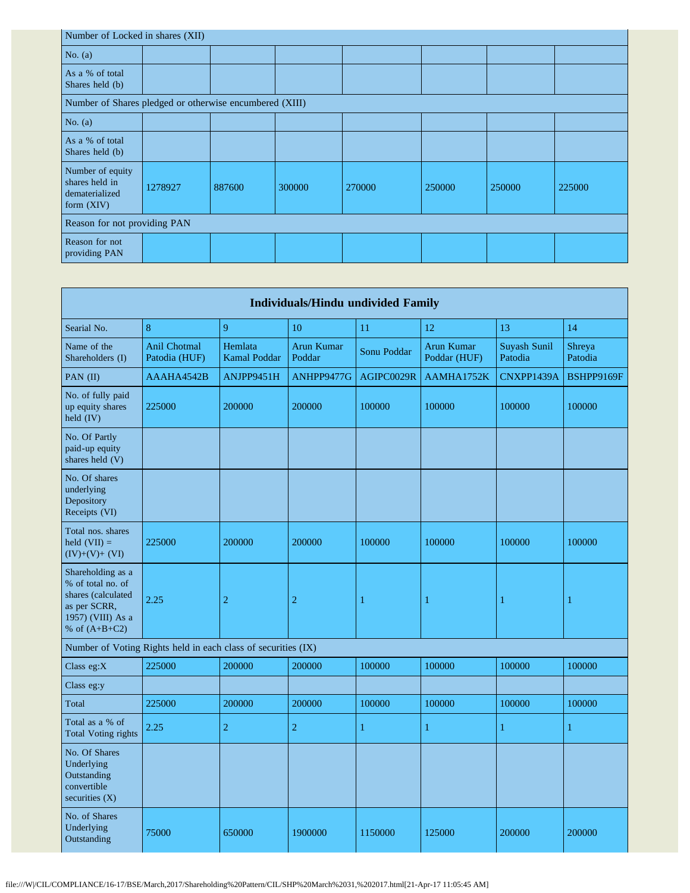| Number of Locked in shares (XII)                                     |         |        |        |        |        |        |        |  |  |  |
|----------------------------------------------------------------------|---------|--------|--------|--------|--------|--------|--------|--|--|--|
| No. $(a)$                                                            |         |        |        |        |        |        |        |  |  |  |
| As a % of total<br>Shares held (b)                                   |         |        |        |        |        |        |        |  |  |  |
| Number of Shares pledged or otherwise encumbered (XIII)              |         |        |        |        |        |        |        |  |  |  |
| No. $(a)$                                                            |         |        |        |        |        |        |        |  |  |  |
| As a % of total<br>Shares held (b)                                   |         |        |        |        |        |        |        |  |  |  |
| Number of equity<br>shares held in<br>dematerialized<br>form $(XIV)$ | 1278927 | 887600 | 300000 | 270000 | 250000 | 250000 | 225000 |  |  |  |
| Reason for not providing PAN                                         |         |        |        |        |        |        |        |  |  |  |
| Reason for not<br>providing PAN                                      |         |        |        |        |        |        |        |  |  |  |

|                                                                                                                      |                                                               |                                | <b>Individuals/Hindu undivided Family</b> |              |                            |                         |                   |
|----------------------------------------------------------------------------------------------------------------------|---------------------------------------------------------------|--------------------------------|-------------------------------------------|--------------|----------------------------|-------------------------|-------------------|
| Searial No.                                                                                                          | 8                                                             | 9                              | 10                                        | 11           | 12                         | 13                      | 14                |
| Name of the<br>Shareholders (I)                                                                                      | Anil Chotmal<br>Patodia (HUF)                                 | Hemlata<br><b>Kamal Poddar</b> | Arun Kumar<br>Poddar                      | Sonu Poddar  | Arun Kumar<br>Poddar (HUF) | Suyash Sunil<br>Patodia | Shreya<br>Patodia |
| PAN (II)                                                                                                             | AAAHA4542B                                                    | ANJPP9451H                     | ANHPP9477G                                | AGIPC0029R   | AAMHA1752K                 | CNXPP1439A              | BSHPP9169F        |
| No. of fully paid<br>up equity shares<br>held $(IV)$                                                                 | 225000                                                        | 200000                         | 200000                                    | 100000       | 100000                     | 100000                  | 100000            |
| No. Of Partly<br>paid-up equity<br>shares held (V)                                                                   |                                                               |                                |                                           |              |                            |                         |                   |
| No. Of shares<br>underlying<br>Depository<br>Receipts (VI)                                                           |                                                               |                                |                                           |              |                            |                         |                   |
| Total nos. shares<br>held $(VII) =$<br>$(IV)+(V)+(VI)$                                                               | 225000                                                        | 200000                         | 200000                                    | 100000       | 100000                     | 100000                  | 100000            |
| Shareholding as a<br>% of total no. of<br>shares (calculated<br>as per SCRR,<br>1957) (VIII) As a<br>% of $(A+B+C2)$ | 2.25                                                          | $\overline{2}$                 | $\overline{c}$                            | $\mathbf{1}$ | 1                          | 1                       | $\mathbf{1}$      |
|                                                                                                                      | Number of Voting Rights held in each class of securities (IX) |                                |                                           |              |                            |                         |                   |
| Class eg:X                                                                                                           | 225000                                                        | 200000                         | 200000                                    | 100000       | 100000                     | 100000                  | 100000            |
| Class eg:y                                                                                                           |                                                               |                                |                                           |              |                            |                         |                   |
| Total                                                                                                                | 225000                                                        | 200000                         | 200000                                    | 100000       | 100000                     | 100000                  | 100000            |
| Total as a % of<br><b>Total Voting rights</b>                                                                        | 2.25                                                          | $\mathbf 2$                    | $\overline{2}$                            | 1            | 1                          | 1                       | 1                 |
| No. Of Shares<br>Underlying<br>Outstanding<br>convertible<br>securities $(X)$                                        |                                                               |                                |                                           |              |                            |                         |                   |
| No. of Shares<br>Underlying<br>Outstanding                                                                           | 75000                                                         | 650000                         | 1900000                                   | 1150000      | 125000                     | 200000                  | 200000            |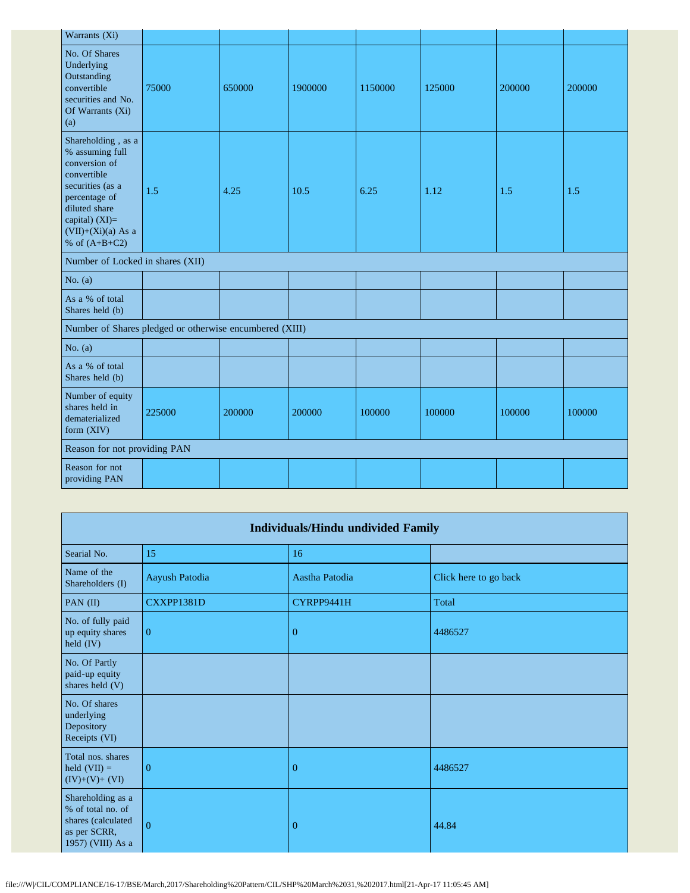| Warrants (Xi)                                                                                                                                                                            |        |        |         |         |        |        |        |
|------------------------------------------------------------------------------------------------------------------------------------------------------------------------------------------|--------|--------|---------|---------|--------|--------|--------|
| No. Of Shares<br>Underlying<br>Outstanding<br>convertible<br>securities and No.<br>Of Warrants (Xi)<br>(a)                                                                               | 75000  | 650000 | 1900000 | 1150000 | 125000 | 200000 | 200000 |
| Shareholding, as a<br>% assuming full<br>conversion of<br>convertible<br>securities (as a<br>percentage of<br>diluted share<br>capital) (XI)=<br>$(VII)+(Xi)(a)$ As a<br>% of $(A+B+C2)$ | 1.5    | 4.25   | 10.5    | 6.25    | 1.12   | 1.5    | 1.5    |
| Number of Locked in shares (XII)                                                                                                                                                         |        |        |         |         |        |        |        |
| No. $(a)$                                                                                                                                                                                |        |        |         |         |        |        |        |
| As a % of total<br>Shares held (b)                                                                                                                                                       |        |        |         |         |        |        |        |
| Number of Shares pledged or otherwise encumbered (XIII)                                                                                                                                  |        |        |         |         |        |        |        |
| No. $(a)$                                                                                                                                                                                |        |        |         |         |        |        |        |
| As a % of total<br>Shares held (b)                                                                                                                                                       |        |        |         |         |        |        |        |
| Number of equity<br>shares held in<br>dematerialized<br>form (XIV)                                                                                                                       | 225000 | 200000 | 200000  | 100000  | 100000 | 100000 | 100000 |
| Reason for not providing PAN                                                                                                                                                             |        |        |         |         |        |        |        |
| Reason for not<br>providing PAN                                                                                                                                                          |        |        |         |         |        |        |        |

| <b>Individuals/Hindu undivided Family</b>                                                         |                |                |                       |  |  |
|---------------------------------------------------------------------------------------------------|----------------|----------------|-----------------------|--|--|
| Searial No.                                                                                       | 15             | 16             |                       |  |  |
| Name of the<br>Shareholders (I)                                                                   | Aayush Patodia | Aastha Patodia | Click here to go back |  |  |
| PAN (II)                                                                                          | CXXPP1381D     | CYRPP9441H     | Total                 |  |  |
| No. of fully paid<br>up equity shares<br>held (IV)                                                | $\overline{0}$ | 0              | 4486527               |  |  |
| No. Of Partly<br>paid-up equity<br>shares held (V)                                                |                |                |                       |  |  |
| No. Of shares<br>underlying<br>Depository<br>Receipts (VI)                                        |                |                |                       |  |  |
| Total nos. shares<br>held $(VII) =$<br>$(IV)+(V)+(VI)$                                            | $\theta$       | $\overline{0}$ | 4486527               |  |  |
| Shareholding as a<br>% of total no. of<br>shares (calculated<br>as per SCRR,<br>1957) (VIII) As a | $\Omega$       | $\mathbf{0}$   | 44.84                 |  |  |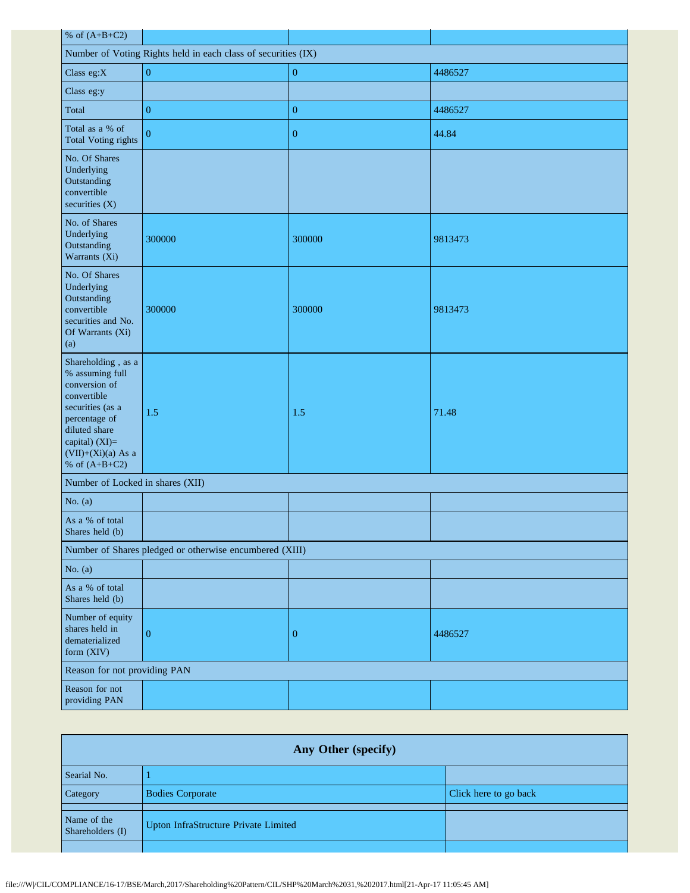| % of $(A+B+C2)$                                                                                                                                                                          |                                                         |                  |         |  |  |
|------------------------------------------------------------------------------------------------------------------------------------------------------------------------------------------|---------------------------------------------------------|------------------|---------|--|--|
| Number of Voting Rights held in each class of securities (IX)                                                                                                                            |                                                         |                  |         |  |  |
| Class eg:X                                                                                                                                                                               | $\boldsymbol{0}$                                        | $\boldsymbol{0}$ | 4486527 |  |  |
| Class eg:y                                                                                                                                                                               |                                                         |                  |         |  |  |
| Total                                                                                                                                                                                    | $\boldsymbol{0}$                                        | $\overline{0}$   | 4486527 |  |  |
| Total as a % of<br><b>Total Voting rights</b>                                                                                                                                            | $\overline{0}$                                          | $\boldsymbol{0}$ | 44.84   |  |  |
| No. Of Shares<br>Underlying<br>Outstanding<br>convertible<br>securities (X)                                                                                                              |                                                         |                  |         |  |  |
| No. of Shares<br>Underlying<br>Outstanding<br>Warrants (Xi)                                                                                                                              | 300000                                                  | 300000           | 9813473 |  |  |
| No. Of Shares<br>Underlying<br>Outstanding<br>convertible<br>securities and No.<br>Of Warrants (Xi)<br>(a)                                                                               | 300000                                                  | 300000           | 9813473 |  |  |
| Shareholding, as a<br>% assuming full<br>conversion of<br>convertible<br>securities (as a<br>percentage of<br>diluted share<br>capital) (XI)=<br>$(VII)+(Xi)(a)$ As a<br>% of $(A+B+C2)$ | 1.5                                                     | 1.5              | 71.48   |  |  |
| Number of Locked in shares (XII)                                                                                                                                                         |                                                         |                  |         |  |  |
| No. $(a)$                                                                                                                                                                                |                                                         |                  |         |  |  |
| As a % of total<br>Shares held (b)                                                                                                                                                       |                                                         |                  |         |  |  |
|                                                                                                                                                                                          | Number of Shares pledged or otherwise encumbered (XIII) |                  |         |  |  |
| No. $(a)$                                                                                                                                                                                |                                                         |                  |         |  |  |
| As a % of total<br>Shares held (b)                                                                                                                                                       |                                                         |                  |         |  |  |
| Number of equity<br>shares held in<br>dematerialized<br>form (XIV)                                                                                                                       | $\boldsymbol{0}$                                        | $\mathbf{0}$     | 4486527 |  |  |
| Reason for not providing PAN                                                                                                                                                             |                                                         |                  |         |  |  |
| Reason for not<br>providing PAN                                                                                                                                                          |                                                         |                  |         |  |  |

| Any Other (specify)             |                                      |                       |  |  |
|---------------------------------|--------------------------------------|-----------------------|--|--|
| Searial No.                     |                                      |                       |  |  |
| Category                        | <b>Bodies Corporate</b>              | Click here to go back |  |  |
| Name of the<br>Shareholders (I) | Upton InfraStructure Private Limited |                       |  |  |
|                                 |                                      |                       |  |  |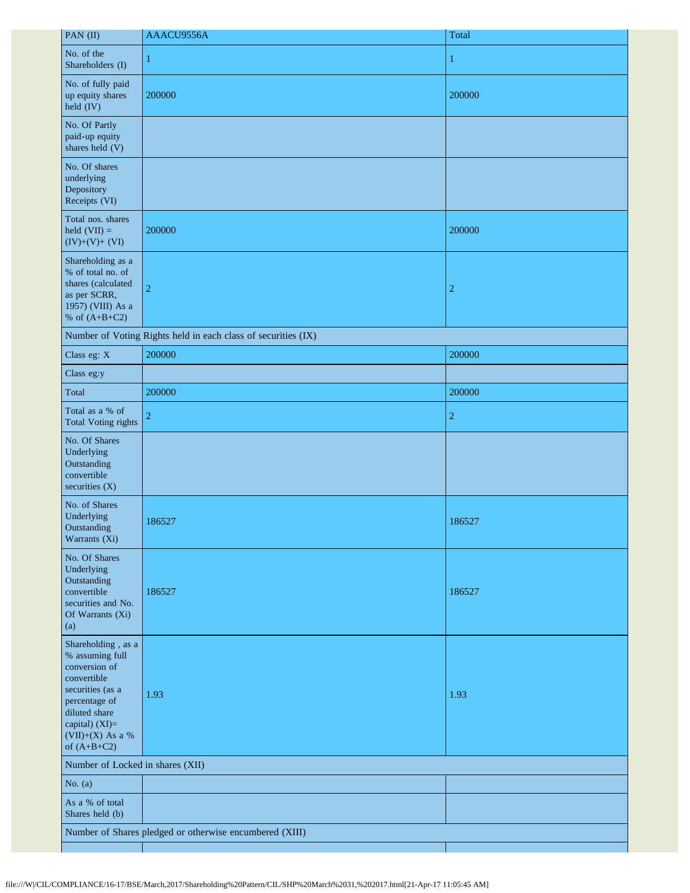| PAN (II)                                                                                                                                                                           | AAACU9556A                                                    | Total          |
|------------------------------------------------------------------------------------------------------------------------------------------------------------------------------------|---------------------------------------------------------------|----------------|
| No. of the<br>Shareholders (I)                                                                                                                                                     | 1                                                             | 1              |
| No. of fully paid<br>up equity shares<br>held (IV)                                                                                                                                 | 200000                                                        | 200000         |
| No. Of Partly<br>paid-up equity<br>shares held (V)                                                                                                                                 |                                                               |                |
| No. Of shares<br>underlying<br>Depository<br>Receipts (VI)                                                                                                                         |                                                               |                |
| Total nos. shares<br>held $(VII) =$<br>$(IV)+(V)+(VI)$                                                                                                                             | 200000                                                        | 200000         |
| Shareholding as a<br>% of total no. of<br>shares (calculated<br>as per SCRR,<br>1957) (VIII) As a<br>% of $(A+B+C2)$                                                               | $\overline{2}$                                                | $\overline{c}$ |
|                                                                                                                                                                                    | Number of Voting Rights held in each class of securities (IX) |                |
| Class eg: X                                                                                                                                                                        | 200000                                                        | 200000         |
| Class eg:y                                                                                                                                                                         |                                                               |                |
| Total                                                                                                                                                                              | 200000                                                        | 200000         |
| Total as a % of<br><b>Total Voting rights</b>                                                                                                                                      | $\overline{2}$                                                | $\overline{2}$ |
| No. Of Shares<br>Underlying<br>Outstanding<br>convertible<br>securities (X)                                                                                                        |                                                               |                |
| No. of Shares<br>Underlying<br>Outstanding<br>Warrants (Xi)                                                                                                                        | 186527                                                        | 186527         |
| No. Of Shares<br>Underlying<br>Outstanding<br>convertible<br>securities and No.<br>Of Warrants (Xi)<br>(a)                                                                         | 186527                                                        | 186527         |
| Shareholding, as a<br>% assuming full<br>conversion of<br>convertible<br>securities (as a<br>percentage of<br>diluted share<br>capital) (XI)=<br>(VII)+(X) As a %<br>of $(A+B+C2)$ | 1.93                                                          | 1.93           |
| Number of Locked in shares (XII)                                                                                                                                                   |                                                               |                |
| No. $(a)$                                                                                                                                                                          |                                                               |                |
| As a % of total<br>Shares held (b)                                                                                                                                                 |                                                               |                |
|                                                                                                                                                                                    | Number of Shares pledged or otherwise encumbered (XIII)       |                |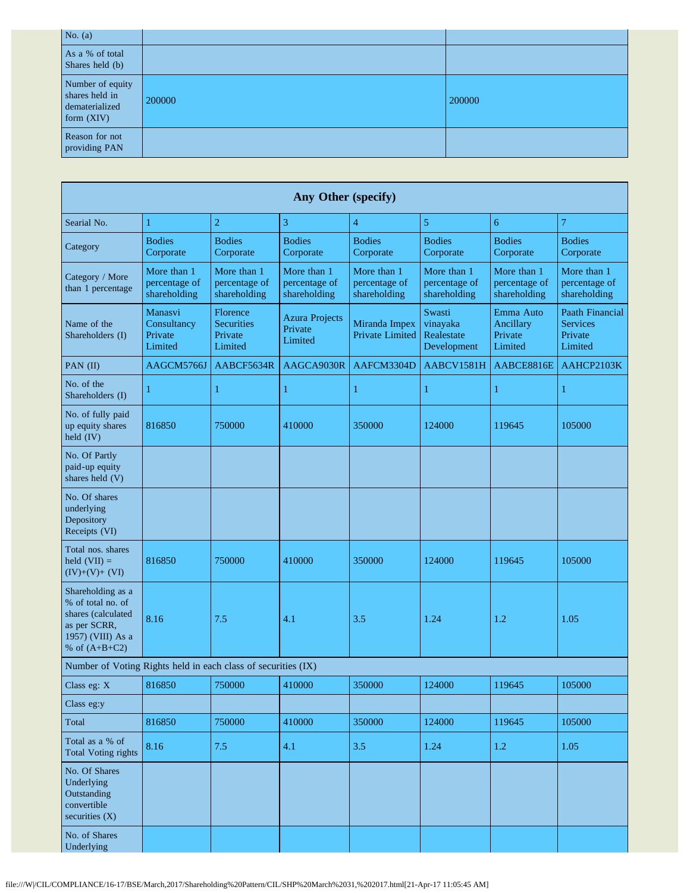| No. $(a)$                                                            |        |        |
|----------------------------------------------------------------------|--------|--------|
| As a % of total<br>Shares held (b)                                   |        |        |
| Number of equity<br>shares held in<br>dematerialized<br>form $(XIV)$ | 200000 | 200000 |
| Reason for not<br>providing PAN                                      |        |        |

| Any Other (specify)                                                                                                  |                                              |                                                     |                                              |                                              |                                                 |                                              |                                                          |
|----------------------------------------------------------------------------------------------------------------------|----------------------------------------------|-----------------------------------------------------|----------------------------------------------|----------------------------------------------|-------------------------------------------------|----------------------------------------------|----------------------------------------------------------|
| Searial No.                                                                                                          | 1                                            | $\overline{c}$                                      | 3                                            | $\overline{4}$                               | 5                                               | 6                                            | 7                                                        |
| Category                                                                                                             | <b>Bodies</b><br>Corporate                   | <b>Bodies</b><br>Corporate                          | <b>Bodies</b><br>Corporate                   | <b>Bodies</b><br>Corporate                   | <b>Bodies</b><br>Corporate                      | <b>Bodies</b><br>Corporate                   | <b>Bodies</b><br>Corporate                               |
| Category / More<br>than 1 percentage                                                                                 | More than 1<br>percentage of<br>shareholding | More than 1<br>percentage of<br>shareholding        | More than 1<br>percentage of<br>shareholding | More than 1<br>percentage of<br>shareholding | More than 1<br>percentage of<br>shareholding    | More than 1<br>percentage of<br>shareholding | More than 1<br>percentage of<br>shareholding             |
| Name of the<br>Shareholders (I)                                                                                      | Manasvi<br>Consultancy<br>Private<br>Limited | Florence<br><b>Securities</b><br>Private<br>Limited | <b>Azura Projects</b><br>Private<br>Limited  | Miranda Impex<br><b>Private Limited</b>      | Swasti<br>vinayaka<br>Realestate<br>Development | Emma Auto<br>Ancillary<br>Private<br>Limited | Paath Financial<br><b>Services</b><br>Private<br>Limited |
| PAN (II)                                                                                                             | AAGCM5766J                                   | AABCF5634R                                          | AAGCA9030R                                   | AAFCM3304D                                   | AABCV1581H                                      | AABCE8816E                                   | AAHCP2103K                                               |
| No. of the<br>Shareholders (I)                                                                                       |                                              | 1                                                   | 1                                            | 1                                            | 1                                               | 1                                            | 1                                                        |
| No. of fully paid<br>up equity shares<br>held (IV)                                                                   | 816850                                       | 750000                                              | 410000                                       | 350000                                       | 124000                                          | 119645                                       | 105000                                                   |
| No. Of Partly<br>paid-up equity<br>shares held (V)                                                                   |                                              |                                                     |                                              |                                              |                                                 |                                              |                                                          |
| No. Of shares<br>underlying<br>Depository<br>Receipts (VI)                                                           |                                              |                                                     |                                              |                                              |                                                 |                                              |                                                          |
| Total nos. shares<br>held $(VII) =$<br>$(IV)+(V)+(VI)$                                                               | 816850                                       | 750000                                              | 410000                                       | 350000                                       | 124000                                          | 119645                                       | 105000                                                   |
| Shareholding as a<br>% of total no. of<br>shares (calculated<br>as per SCRR,<br>1957) (VIII) As a<br>% of $(A+B+C2)$ | 8.16                                         | 7.5                                                 | 4.1                                          | 3.5                                          | 1.24                                            | 1.2                                          | 1.05                                                     |
| Number of Voting Rights held in each class of securities (IX)                                                        |                                              |                                                     |                                              |                                              |                                                 |                                              |                                                          |
| Class eg: X                                                                                                          | 816850                                       | 750000                                              | 410000                                       | 350000                                       | 124000                                          | 119645                                       | 105000                                                   |
| Class eg:y                                                                                                           |                                              |                                                     |                                              |                                              |                                                 |                                              |                                                          |
| Total                                                                                                                | 816850                                       | 750000                                              | 410000                                       | 350000                                       | 124000                                          | 119645                                       | 105000                                                   |
| Total as a % of<br><b>Total Voting rights</b>                                                                        | 8.16                                         | 7.5                                                 | 4.1                                          | 3.5                                          | 1.24                                            | $1.2\,$                                      | 1.05                                                     |
| No. Of Shares<br>Underlying<br>Outstanding<br>convertible<br>securities $(X)$                                        |                                              |                                                     |                                              |                                              |                                                 |                                              |                                                          |
| No. of Shares<br>Underlying                                                                                          |                                              |                                                     |                                              |                                              |                                                 |                                              |                                                          |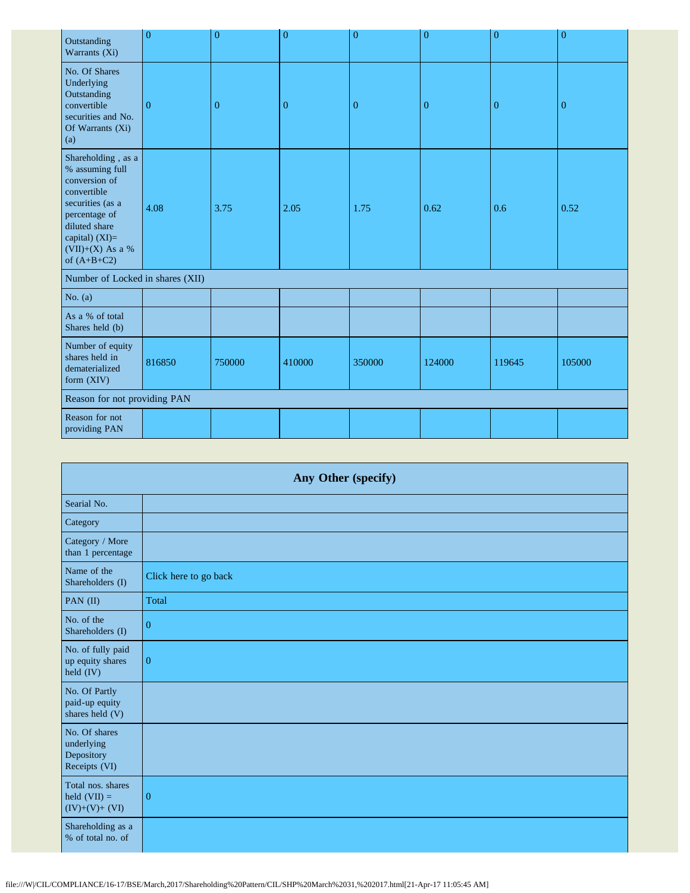| Outstanding<br>Warrants (Xi)                                                                                                                                                         | $\overline{0}$ | $\overline{0}$ | $\overline{0}$ | $\overline{0}$ | $\overline{0}$ | $\overline{0}$ | $\overline{0}$ |
|--------------------------------------------------------------------------------------------------------------------------------------------------------------------------------------|----------------|----------------|----------------|----------------|----------------|----------------|----------------|
| No. Of Shares<br>Underlying<br>Outstanding<br>convertible<br>securities and No.<br>Of Warrants (Xi)<br>(a)                                                                           | $\overline{0}$ | $\overline{0}$ | $\overline{0}$ | $\overline{0}$ | $\overline{0}$ | $\overline{0}$ | $\overline{0}$ |
| Shareholding, as a<br>% assuming full<br>conversion of<br>convertible<br>securities (as a<br>percentage of<br>diluted share<br>capital) $(XI)=$<br>(VII)+(X) As a %<br>of $(A+B+C2)$ | 4.08           | 3.75           | 2.05           | 1.75           | 0.62           | 0.6            | 0.52           |
| Number of Locked in shares (XII)                                                                                                                                                     |                |                |                |                |                |                |                |
| No. $(a)$                                                                                                                                                                            |                |                |                |                |                |                |                |
| As a % of total<br>Shares held (b)                                                                                                                                                   |                |                |                |                |                |                |                |
| Number of equity<br>shares held in<br>dematerialized<br>form (XIV)                                                                                                                   | 816850         | 750000         | 410000         | 350000         | 124000         | 119645         | 105000         |
| Reason for not providing PAN                                                                                                                                                         |                |                |                |                |                |                |                |
| Reason for not<br>providing PAN                                                                                                                                                      |                |                |                |                |                |                |                |

| Any Other (specify)                                        |                       |  |  |
|------------------------------------------------------------|-----------------------|--|--|
| Searial No.                                                |                       |  |  |
| Category                                                   |                       |  |  |
| Category / More<br>than 1 percentage                       |                       |  |  |
| Name of the<br>Shareholders (I)                            | Click here to go back |  |  |
| PAN (II)                                                   | Total                 |  |  |
| No. of the<br>Shareholders (I)                             | $\overline{0}$        |  |  |
| No. of fully paid<br>up equity shares<br>held (IV)         | $\mathbf{0}$          |  |  |
| No. Of Partly<br>paid-up equity<br>shares held (V)         |                       |  |  |
| No. Of shares<br>underlying<br>Depository<br>Receipts (VI) |                       |  |  |
| Total nos. shares<br>held $(VII) =$<br>$(IV)+(V)+(VI)$     | $\mathbf{0}$          |  |  |
| Shareholding as a<br>% of total no. of                     |                       |  |  |